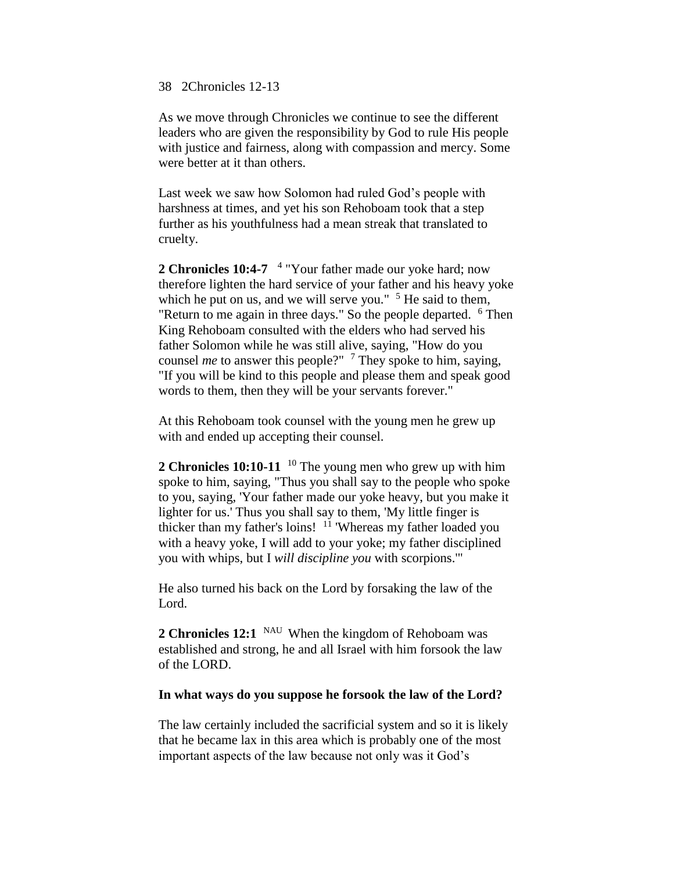### 38 2Chronicles 12-13

As we move through Chronicles we continue to see the different leaders who are given the responsibility by God to rule His people with justice and fairness, along with compassion and mercy. Some were better at it than others.

Last week we saw how Solomon had ruled God's people with harshness at times, and yet his son Rehoboam took that a step further as his youthfulness had a mean streak that translated to cruelty.

2 Chronicles 10:4-7 <sup>4</sup> "Your father made our yoke hard; now therefore lighten the hard service of your father and his heavy yoke which he put on us, and we will serve you."  $5$  He said to them, "Return to me again in three days." So the people departed.  $6$  Then King Rehoboam consulted with the elders who had served his father Solomon while he was still alive, saying, "How do you counsel *me* to answer this people?" <sup>7</sup> They spoke to him, saying, "If you will be kind to this people and please them and speak good words to them, then they will be your servants forever."

At this Rehoboam took counsel with the young men he grew up with and ended up accepting their counsel.

**2 Chronicles 10:10-11** <sup>10</sup> The young men who grew up with him spoke to him, saying, "Thus you shall say to the people who spoke to you, saying, 'Your father made our yoke heavy, but you make it lighter for us.' Thus you shall say to them, 'My little finger is thicker than my father's loins!  $11$  'Whereas my father loaded you with a heavy yoke, I will add to your yoke; my father disciplined you with whips, but I *will discipline you* with scorpions.'"

He also turned his back on the Lord by forsaking the law of the Lord.

2 Chronicles 12:1 <sup>NAU</sup> When the kingdom of Rehoboam was established and strong, he and all Israel with him forsook the law of the LORD.

### **In what ways do you suppose he forsook the law of the Lord?**

The law certainly included the sacrificial system and so it is likely that he became lax in this area which is probably one of the most important aspects of the law because not only was it God's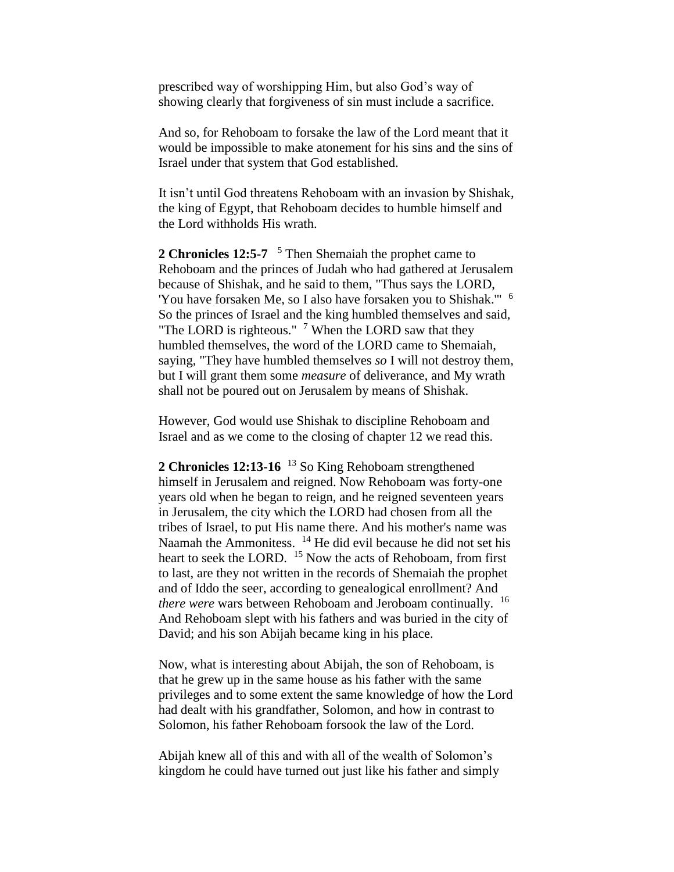prescribed way of worshipping Him, but also God's way of showing clearly that forgiveness of sin must include a sacrifice.

And so, for Rehoboam to forsake the law of the Lord meant that it would be impossible to make atonement for his sins and the sins of Israel under that system that God established.

It isn't until God threatens Rehoboam with an invasion by Shishak, the king of Egypt, that Rehoboam decides to humble himself and the Lord withholds His wrath.

2 Chronicles 12:5-7 <sup>5</sup> Then Shemaiah the prophet came to Rehoboam and the princes of Judah who had gathered at Jerusalem because of Shishak, and he said to them, "Thus says the LORD, 'You have forsaken Me, so I also have forsaken you to Shishak."' <sup>6</sup> So the princes of Israel and the king humbled themselves and said, "The LORD is righteous."  $\frac{7}{1}$  When the LORD saw that they humbled themselves, the word of the LORD came to Shemaiah, saying, "They have humbled themselves *so* I will not destroy them, but I will grant them some *measure* of deliverance, and My wrath shall not be poured out on Jerusalem by means of Shishak.

However, God would use Shishak to discipline Rehoboam and Israel and as we come to the closing of chapter 12 we read this.

**2 Chronicles 12:13-16** <sup>13</sup> So King Rehoboam strengthened himself in Jerusalem and reigned. Now Rehoboam was forty-one years old when he began to reign, and he reigned seventeen years in Jerusalem, the city which the LORD had chosen from all the tribes of Israel, to put His name there. And his mother's name was Naamah the Ammonitess. <sup>14</sup> He did evil because he did not set his heart to seek the LORD. <sup>15</sup> Now the acts of Rehoboam, from first to last, are they not written in the records of Shemaiah the prophet and of Iddo the seer, according to genealogical enrollment? And *there were* wars between Rehoboam and Jeroboam continually. <sup>16</sup> And Rehoboam slept with his fathers and was buried in the city of David; and his son Abijah became king in his place.

Now, what is interesting about Abijah, the son of Rehoboam, is that he grew up in the same house as his father with the same privileges and to some extent the same knowledge of how the Lord had dealt with his grandfather, Solomon, and how in contrast to Solomon, his father Rehoboam forsook the law of the Lord.

Abijah knew all of this and with all of the wealth of Solomon's kingdom he could have turned out just like his father and simply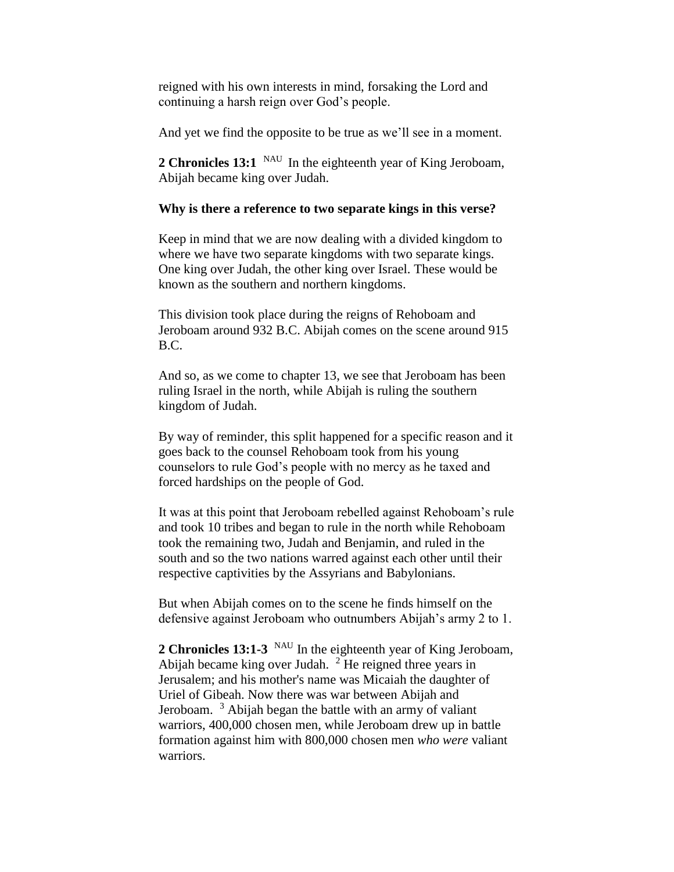reigned with his own interests in mind, forsaking the Lord and continuing a harsh reign over God's people.

And yet we find the opposite to be true as we'll see in a moment.

2 Chronicles 13:1 <sup>NAU</sup> In the eighteenth year of King Jeroboam, Abijah became king over Judah.

# **Why is there a reference to two separate kings in this verse?**

Keep in mind that we are now dealing with a divided kingdom to where we have two separate kingdoms with two separate kings. One king over Judah, the other king over Israel. These would be known as the southern and northern kingdoms.

This division took place during the reigns of Rehoboam and Jeroboam around 932 B.C. Abijah comes on the scene around 915 B.C.

And so, as we come to chapter 13, we see that Jeroboam has been ruling Israel in the north, while Abijah is ruling the southern kingdom of Judah.

By way of reminder, this split happened for a specific reason and it goes back to the counsel Rehoboam took from his young counselors to rule God's people with no mercy as he taxed and forced hardships on the people of God.

It was at this point that Jeroboam rebelled against Rehoboam's rule and took 10 tribes and began to rule in the north while Rehoboam took the remaining two, Judah and Benjamin, and ruled in the south and so the two nations warred against each other until their respective captivities by the Assyrians and Babylonians.

But when Abijah comes on to the scene he finds himself on the defensive against Jeroboam who outnumbers Abijah's army 2 to 1.

2 Chronicles 13:1-3 <sup>NAU</sup> In the eighteenth year of King Jeroboam, Abijah became king over Judah.  $2$  He reigned three years in Jerusalem; and his mother's name was Micaiah the daughter of Uriel of Gibeah. Now there was war between Abijah and Jeroboam. <sup>3</sup> Abijah began the battle with an army of valiant warriors, 400,000 chosen men, while Jeroboam drew up in battle formation against him with 800,000 chosen men *who were* valiant warriors.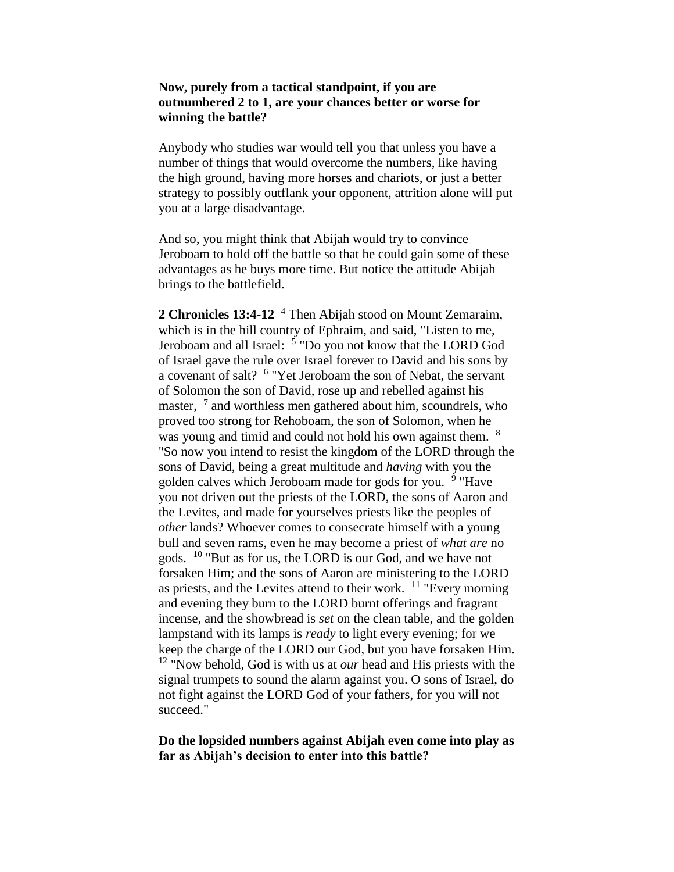# **Now, purely from a tactical standpoint, if you are outnumbered 2 to 1, are your chances better or worse for winning the battle?**

Anybody who studies war would tell you that unless you have a number of things that would overcome the numbers, like having the high ground, having more horses and chariots, or just a better strategy to possibly outflank your opponent, attrition alone will put you at a large disadvantage.

And so, you might think that Abijah would try to convince Jeroboam to hold off the battle so that he could gain some of these advantages as he buys more time. But notice the attitude Abijah brings to the battlefield.

**2 Chronicles 13:4-12** <sup>4</sup> Then Abijah stood on Mount Zemaraim, which is in the hill country of Ephraim, and said, "Listen to me, Jeroboam and all Israel: <sup>5</sup> "Do you not know that the LORD God of Israel gave the rule over Israel forever to David and his sons by a covenant of salt? <sup>6</sup> "Yet Jeroboam the son of Nebat, the servant of Solomon the son of David, rose up and rebelled against his master, <sup>7</sup> and worthless men gathered about him, scoundrels, who proved too strong for Rehoboam, the son of Solomon, when he was young and timid and could not hold his own against them. <sup>8</sup> "So now you intend to resist the kingdom of the LORD through the sons of David, being a great multitude and *having* with you the golden calves which Jeroboam made for gods for you. <sup>9</sup> "Have you not driven out the priests of the LORD, the sons of Aaron and the Levites, and made for yourselves priests like the peoples of *other* lands? Whoever comes to consecrate himself with a young bull and seven rams, even he may become a priest of *what are* no gods. <sup>10</sup> "But as for us, the LORD is our God, and we have not forsaken Him; and the sons of Aaron are ministering to the LORD as priests, and the Levites attend to their work.  $11$  "Every morning" and evening they burn to the LORD burnt offerings and fragrant incense, and the showbread is *set* on the clean table, and the golden lampstand with its lamps is *ready* to light every evening; for we keep the charge of the LORD our God, but you have forsaken Him. <sup>12</sup> "Now behold, God is with us at *our* head and His priests with the signal trumpets to sound the alarm against you. O sons of Israel, do not fight against the LORD God of your fathers, for you will not succeed."

# **Do the lopsided numbers against Abijah even come into play as far as Abijah's decision to enter into this battle?**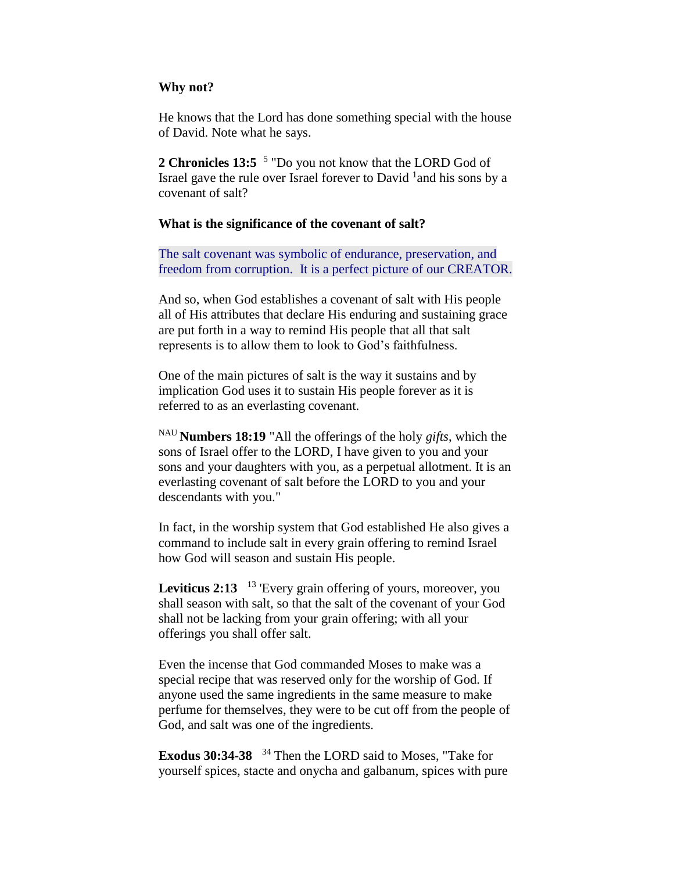# **Why not?**

He knows that the Lord has done something special with the house of David. Note what he says.

2 Chronicles 13:5<sup>5</sup> "Do you not know that the LORD God of Israel gave the rule over Israel forever to David  $^1$ and his sons by a covenant of salt?

# **What is the significance of the covenant of salt?**

The salt covenant was symbolic of endurance, preservation, and freedom from corruption. It is a perfect picture of our CREATOR.

And so, when God establishes a covenant of salt with His people all of His attributes that declare His enduring and sustaining grace are put forth in a way to remind His people that all that salt represents is to allow them to look to God's faithfulness.

One of the main pictures of salt is the way it sustains and by implication God uses it to sustain His people forever as it is referred to as an everlasting covenant.

NAU **Numbers 18:19** "All the offerings of the holy *gifts*, which the sons of Israel offer to the LORD, I have given to you and your sons and your daughters with you, as a perpetual allotment. It is an everlasting covenant of salt before the LORD to you and your descendants with you."

In fact, in the worship system that God established He also gives a command to include salt in every grain offering to remind Israel how God will season and sustain His people.

Leviticus 2:13 <sup>13</sup> 'Every grain offering of yours, moreover, you shall season with salt, so that the salt of the covenant of your God shall not be lacking from your grain offering; with all your offerings you shall offer salt.

Even the incense that God commanded Moses to make was a special recipe that was reserved only for the worship of God. If anyone used the same ingredients in the same measure to make perfume for themselves, they were to be cut off from the people of God, and salt was one of the ingredients.

**Exodus 30:34-38**  <sup>34</sup> Then the LORD said to Moses, "Take for yourself spices, stacte and onycha and galbanum, spices with pure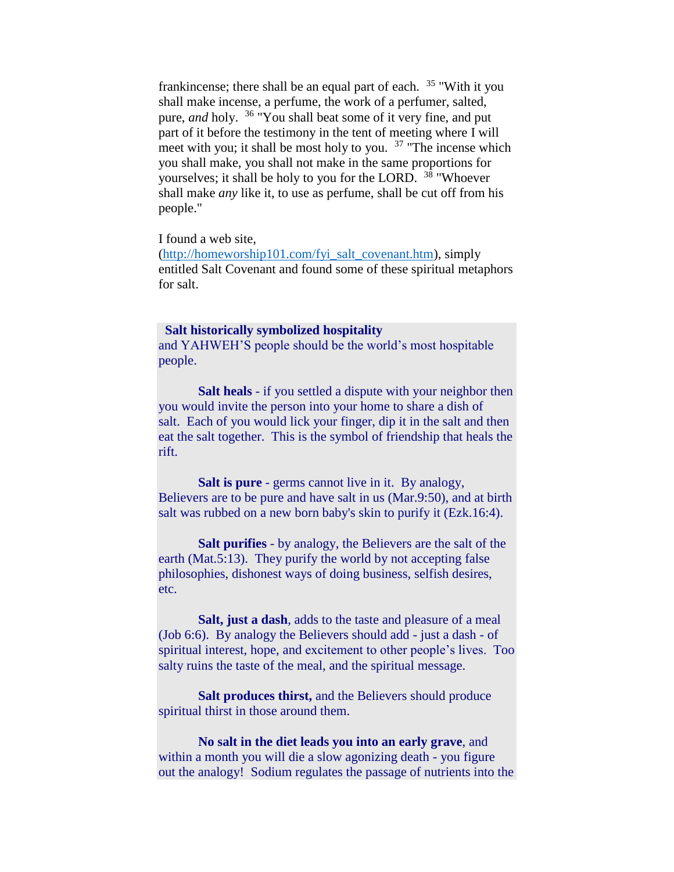frankincense; there shall be an equal part of each. <sup>35</sup> "With it you shall make incense, a perfume, the work of a perfumer, salted, pure, *and* holy. <sup>36</sup> "You shall beat some of it very fine, and put part of it before the testimony in the tent of meeting where I will meet with you; it shall be most holy to you.  $37$  "The incense which you shall make, you shall not make in the same proportions for yourselves; it shall be holy to you for the LORD. <sup>38</sup> "Whoever" shall make *any* like it, to use as perfume, shall be cut off from his people."

I found a web site,

[\(http://homeworship101.com/fyi\\_salt\\_covenant.htm\)](http://homeworship101.com/fyi_salt_covenant.htm), simply entitled Salt Covenant and found some of these spiritual metaphors for salt.

#### **Salt historically symbolized hospitality**

and YAHWEH'S people should be the world's most hospitable people.

 **Salt heals** - if you settled a dispute with your neighbor then you would invite the person into your home to share a dish of salt. Each of you would lick your finger, dip it in the salt and then eat the salt together. This is the symbol of friendship that heals the rift.

 **Salt is pure** - germs cannot live in it. By analogy, Believers are to be pure and have salt in us (Mar.9:50), and at birth salt was rubbed on a new born baby's skin to purify it (Ezk.16:4).

**Salt purifies** - by analogy, the Believers are the salt of the earth (Mat.5:13). They purify the world by not accepting false philosophies, dishonest ways of doing business, selfish desires, etc.

**Salt, just a dash**, adds to the taste and pleasure of a meal (Job 6:6). By analogy the Believers should add - just a dash - of spiritual interest, hope, and excitement to other people's lives. Too salty ruins the taste of the meal, and the spiritual message.

**Salt produces thirst,** and the Believers should produce spiritual thirst in those around them.

 **No salt in the diet leads you into an early grave**, and within a month you will die a slow agonizing death - you figure out the analogy! Sodium regulates the passage of nutrients into the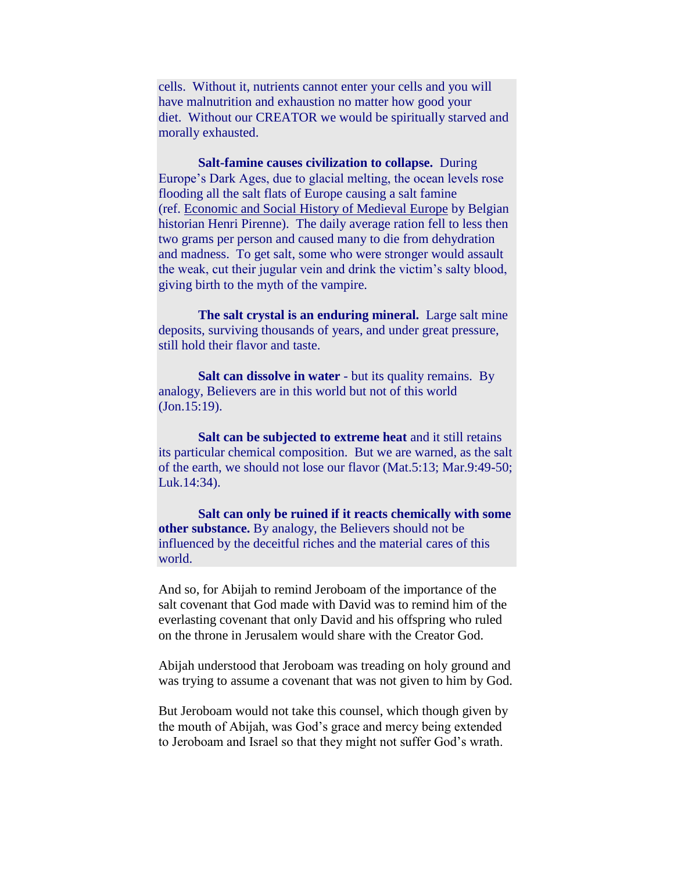cells. Without it, nutrients cannot enter your cells and you will have malnutrition and exhaustion no matter how good your diet. Without our CREATOR we would be spiritually starved and morally exhausted.

**Salt-famine causes civilization to collapse.** During Europe's Dark Ages, due to glacial melting, the ocean levels rose flooding all the salt flats of Europe causing a salt famine (ref. Economic and Social History of Medieval Europe by Belgian historian Henri Pirenne). The daily average ration fell to less then two grams per person and caused many to die from dehydration and madness. To get salt, some who were stronger would assault the weak, cut their jugular vein and drink the victim's salty blood, giving birth to the myth of the vampire.

 **The salt crystal is an enduring mineral.** Large salt mine deposits, surviving thousands of years, and under great pressure, still hold their flavor and taste.

**Salt can dissolve in water** - but its quality remains. By analogy, Believers are in this world but not of this world (Jon.15:19).

**Salt can be subjected to extreme heat** and it still retains its particular chemical composition. But we are warned, as the salt of the earth, we should not lose our flavor (Mat.5:13; Mar.9:49-50; Luk.14:34).

**Salt can only be ruined if it reacts chemically with some other substance.** By analogy, the Believers should not be influenced by the deceitful riches and the material cares of this world.

And so, for Abijah to remind Jeroboam of the importance of the salt covenant that God made with David was to remind him of the everlasting covenant that only David and his offspring who ruled on the throne in Jerusalem would share with the Creator God.

Abijah understood that Jeroboam was treading on holy ground and was trying to assume a covenant that was not given to him by God.

But Jeroboam would not take this counsel, which though given by the mouth of Abijah, was God's grace and mercy being extended to Jeroboam and Israel so that they might not suffer God's wrath.